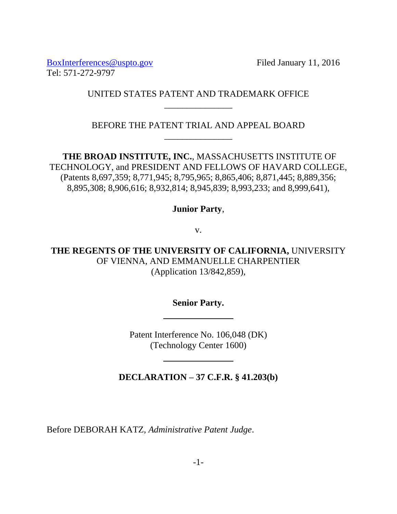[BoxInterferences@uspto.gov](mailto:BoxInterferences@uspto.gov) Filed January 11, 2016 Tel: 571-272-9797

## UNITED STATES PATENT AND TRADEMARK OFFICE \_\_\_\_\_\_\_\_\_\_\_\_\_\_\_

BEFORE THE PATENT TRIAL AND APPEAL BOARD \_\_\_\_\_\_\_\_\_\_\_\_\_\_\_

**THE BROAD INSTITUTE, INC.**, MASSACHUSETTS INSTITUTE OF TECHNOLOGY, and PRESIDENT AND FELLOWS OF HAVARD COLLEGE, (Patents 8,697,359; 8,771,945; 8,795,965; 8,865,406; 8,871,445; 8,889,356; 8,895,308; 8,906,616; 8,932,814; 8,945,839; 8,993,233; and 8,999,641),

# **Junior Party**,

v.

**THE REGENTS OF THE UNIVERSITY OF CALIFORNIA,** UNIVERSITY OF VIENNA, AND EMMANUELLE CHARPENTIER (Application 13/842,859),

**Senior Party.**

Patent Interference No. 106,048 (DK) (Technology Center 1600)

**DECLARATION – 37 C.F.R. § 41.203(b)**

Before DEBORAH KATZ, *Administrative Patent Judge*.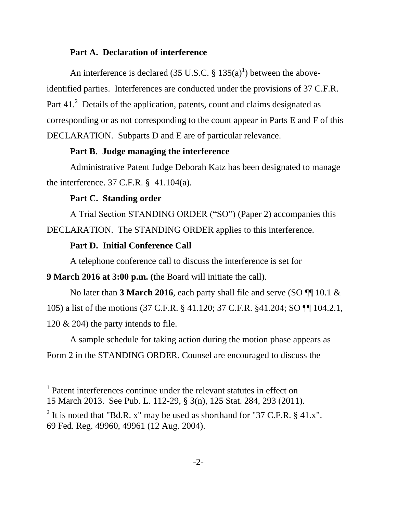#### **Part A. Declaration of interference**

An interference is declared (35 U.S.C.  $\S 135(a)^1$ ) between the aboveidentified parties. Interferences are conducted under the provisions of 37 C.F.R. Part  $41<sup>2</sup>$  Details of the application, patents, count and claims designated as corresponding or as not corresponding to the count appear in Parts E and F of this DECLARATION. Subparts D and E are of particular relevance.

#### **Part B. Judge managing the interference**

Administrative Patent Judge Deborah Katz has been designated to manage the interference. 37 C.F.R. § 41.104(a).

## **Part C. Standing order**

 $\overline{a}$ 

A Trial Section STANDING ORDER ("SO") (Paper 2) accompanies this DECLARATION. The STANDING ORDER applies to this interference.

#### **Part D. Initial Conference Call**

A telephone conference call to discuss the interference is set for

**9 March 2016 at 3:00 p.m. (**the Board will initiate the call).

No later than **3 March 2016**, each party shall file and serve (SO ¶¶ 10.1 & 105) a list of the motions (37 C.F.R. § 41.120; 37 C.F.R. §41.204; SO ¶¶ 104.2.1, 120 & 204) the party intends to file.

A sample schedule for taking action during the motion phase appears as Form 2 in the STANDING ORDER. Counsel are encouraged to discuss the

<sup>1</sup> Patent interferences continue under the relevant statutes in effect on 15 March 2013. See Pub. L. 112-29, § 3(n), 125 Stat. 284, 293 (2011).

<sup>&</sup>lt;sup>2</sup> It is noted that "Bd.R. x" may be used as shorthand for "37 C.F.R.  $\S$  41.x". 69 Fed. Reg. 49960, 49961 (12 Aug. 2004).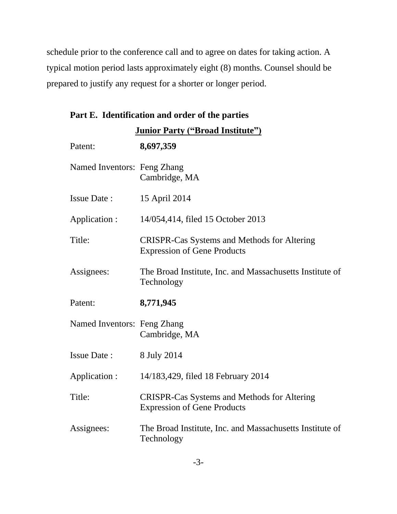schedule prior to the conference call and to agree on dates for taking action. A typical motion period lasts approximately eight (8) months. Counsel should be prepared to justify any request for a shorter or longer period.

| Part E. Identification and order of the parties |  |  |  |
|-------------------------------------------------|--|--|--|
|                                                 |  |  |  |

| <b>Junior Party ("Broad Institute")</b> |                                                                                          |  |  |
|-----------------------------------------|------------------------------------------------------------------------------------------|--|--|
| Patent:                                 | 8,697,359                                                                                |  |  |
| Named Inventors: Feng Zhang             | Cambridge, MA                                                                            |  |  |
| <b>Issue Date:</b>                      | 15 April 2014                                                                            |  |  |
| Application :                           | 14/054,414, filed 15 October 2013                                                        |  |  |
| Title:                                  | <b>CRISPR-Cas Systems and Methods for Altering</b><br><b>Expression of Gene Products</b> |  |  |
| Assignees:                              | The Broad Institute, Inc. and Massachusetts Institute of<br>Technology                   |  |  |
| Patent:                                 | 8,771,945                                                                                |  |  |
| Named Inventors: Feng Zhang             | Cambridge, MA                                                                            |  |  |
| <b>Issue Date:</b>                      | 8 July 2014                                                                              |  |  |
| Application :                           | 14/183,429, filed 18 February 2014                                                       |  |  |
| Title:                                  | <b>CRISPR-Cas Systems and Methods for Altering</b><br><b>Expression of Gene Products</b> |  |  |
| Assignees:                              | The Broad Institute, Inc. and Massachusetts Institute of<br>Technology                   |  |  |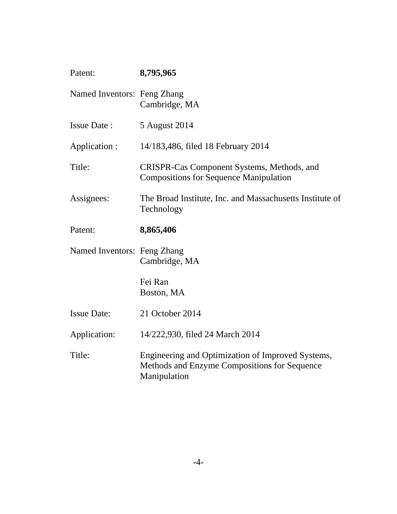| Patent:                     | 8,795,965                                                                                                         |
|-----------------------------|-------------------------------------------------------------------------------------------------------------------|
| Named Inventors: Feng Zhang | Cambridge, MA                                                                                                     |
| <b>Issue Date:</b>          | 5 August 2014                                                                                                     |
| Application :               | 14/183,486, filed 18 February 2014                                                                                |
| Title:                      | CRISPR-Cas Component Systems, Methods, and<br><b>Compositions for Sequence Manipulation</b>                       |
| Assignees:                  | The Broad Institute, Inc. and Massachusetts Institute of<br>Technology                                            |
| Patent:                     | 8,865,406                                                                                                         |
| Named Inventors: Feng Zhang | Cambridge, MA                                                                                                     |
|                             | Fei Ran<br>Boston, MA                                                                                             |
| <b>Issue Date:</b>          | 21 October 2014                                                                                                   |
| Application:                | 14/222,930, filed 24 March 2014                                                                                   |
| Title:                      | Engineering and Optimization of Improved Systems,<br>Methods and Enzyme Compositions for Sequence<br>Manipulation |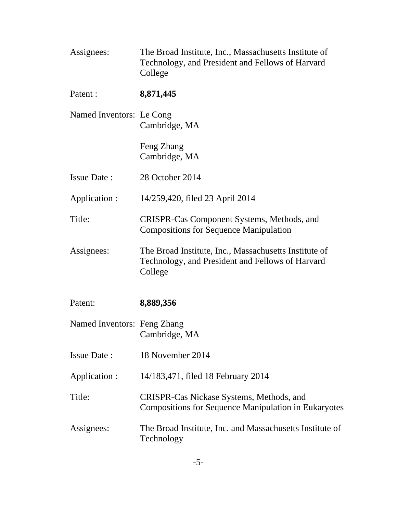| Assignees:                  | The Broad Institute, Inc., Massachusetts Institute of<br>Technology, and President and Fellows of Harvard<br>College |
|-----------------------------|----------------------------------------------------------------------------------------------------------------------|
| Patent :                    | 8,871,445                                                                                                            |
| Named Inventors: Le Cong    | Cambridge, MA                                                                                                        |
|                             | Feng Zhang<br>Cambridge, MA                                                                                          |
| <b>Issue Date:</b>          | 28 October 2014                                                                                                      |
| Application :               | 14/259,420, filed 23 April 2014                                                                                      |
| Title:                      | CRISPR-Cas Component Systems, Methods, and<br><b>Compositions for Sequence Manipulation</b>                          |
| Assignees:                  | The Broad Institute, Inc., Massachusetts Institute of<br>Technology, and President and Fellows of Harvard<br>College |
| Patent:                     | 8,889,356                                                                                                            |
| Named Inventors: Feng Zhang | Cambridge, MA                                                                                                        |
| <b>Issue Date:</b>          | 18 November 2014                                                                                                     |
| Application :               | 14/183,471, filed 18 February 2014                                                                                   |
| Title:                      | CRISPR-Cas Nickase Systems, Methods, and<br><b>Compositions for Sequence Manipulation in Eukaryotes</b>              |
| Assignees:                  | The Broad Institute, Inc. and Massachusetts Institute of<br>Technology                                               |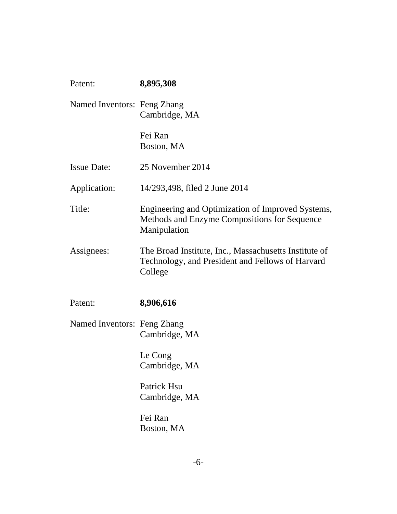| Patent:                     | 8,895,308                                                                                                            |
|-----------------------------|----------------------------------------------------------------------------------------------------------------------|
| Named Inventors: Feng Zhang | Cambridge, MA                                                                                                        |
|                             | Fei Ran<br>Boston, MA                                                                                                |
| <b>Issue Date:</b>          | 25 November 2014                                                                                                     |
| Application:                | 14/293,498, filed 2 June 2014                                                                                        |
| Title:                      | Engineering and Optimization of Improved Systems,<br>Methods and Enzyme Compositions for Sequence<br>Manipulation    |
| Assignees:                  | The Broad Institute, Inc., Massachusetts Institute of<br>Technology, and President and Fellows of Harvard<br>College |
| Patent:                     | 8,906,616                                                                                                            |
| Named Inventors: Feng Zhang | Cambridge, MA                                                                                                        |
|                             | Le Cong<br>Cambridge, MA                                                                                             |
|                             | Patrick Hsu<br>Cambridge, MA                                                                                         |
|                             | Fei Ran<br>Boston, MA                                                                                                |
|                             |                                                                                                                      |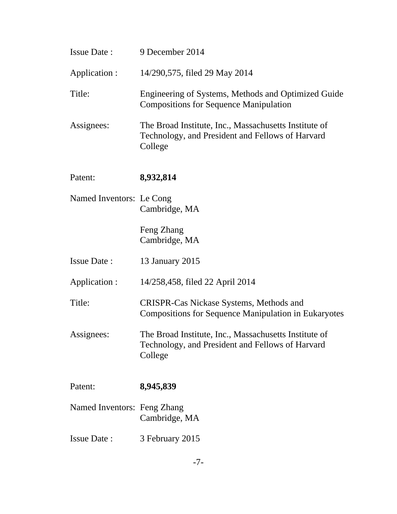| Issue Date :                | 9 December 2014                                                                                                      |
|-----------------------------|----------------------------------------------------------------------------------------------------------------------|
| Application :               | 14/290,575, filed 29 May 2014                                                                                        |
| Title:                      | Engineering of Systems, Methods and Optimized Guide<br><b>Compositions for Sequence Manipulation</b>                 |
| Assignees:                  | The Broad Institute, Inc., Massachusetts Institute of<br>Technology, and President and Fellows of Harvard<br>College |
| Patent:                     | 8,932,814                                                                                                            |
| Named Inventors: Le Cong    | Cambridge, MA                                                                                                        |
|                             | Feng Zhang<br>Cambridge, MA                                                                                          |
| <b>Issue Date:</b>          | 13 January 2015                                                                                                      |
| Application :               | 14/258,458, filed 22 April 2014                                                                                      |
| Title:                      | CRISPR-Cas Nickase Systems, Methods and<br><b>Compositions for Sequence Manipulation in Eukaryotes</b>               |
| Assignees:                  | The Broad Institute, Inc., Massachusetts Institute of<br>Technology, and President and Fellows of Harvard<br>College |
| Patent:                     | 8,945,839                                                                                                            |
| Named Inventors: Feng Zhang | Cambridge, MA                                                                                                        |
| <b>Issue Date:</b>          | 3 February 2015                                                                                                      |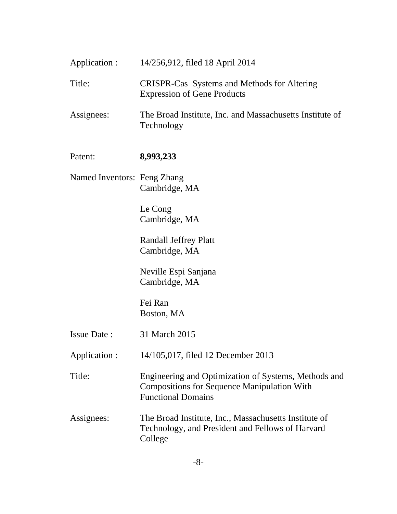| Application :               | 14/256,912, filed 18 April 2014                                                          |
|-----------------------------|------------------------------------------------------------------------------------------|
| Title:                      | <b>CRISPR-Cas</b> Systems and Methods for Altering<br><b>Expression of Gene Products</b> |
| Assignees:                  | The Broad Institute, Inc. and Massachusetts Institute of<br>Technology                   |
| Patent:                     | 8,993,233                                                                                |
| Named Inventors: Feng Zhang | Cambridge, MA                                                                            |
|                             | Le Cong                                                                                  |

Le Cong Cambridge, MA

Randall Jeffrey Platt Cambridge, MA

Neville Espi Sanjana Cambridge, MA

Fei Ran Boston, MA

| <b>Issue Date:</b> | 31 March 2015 |
|--------------------|---------------|
|                    |               |

Application : 14/105,017, filed 12 December 2013

Title: Engineering and Optimization of Systems, Methods and Compositions for Sequence Manipulation With Functional Domains

Assignees: The Broad Institute, Inc., Massachusetts Institute of Technology, and President and Fellows of Harvard College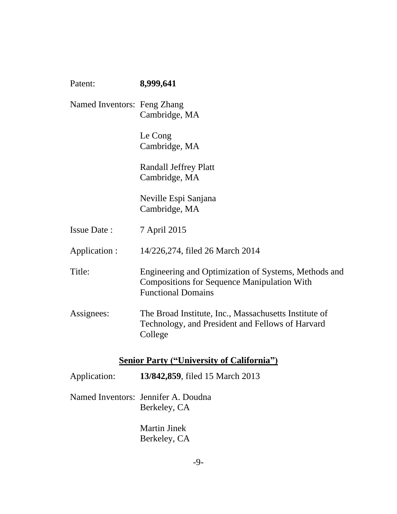| Patent:                     | 8,999,641                                                                                                                               |
|-----------------------------|-----------------------------------------------------------------------------------------------------------------------------------------|
| Named Inventors: Feng Zhang | Cambridge, MA                                                                                                                           |
|                             | Le Cong<br>Cambridge, MA                                                                                                                |
|                             | <b>Randall Jeffrey Platt</b><br>Cambridge, MA                                                                                           |
|                             | Neville Espi Sanjana<br>Cambridge, MA                                                                                                   |
| <b>Issue Date:</b>          | 7 April 2015                                                                                                                            |
| Application :               | 14/226,274, filed 26 March 2014                                                                                                         |
| Title:                      | Engineering and Optimization of Systems, Methods and<br><b>Compositions for Sequence Manipulation With</b><br><b>Functional Domains</b> |
| Assignees:                  | The Broad Institute, Inc., Massachusetts Institute of<br>Technology, and President and Fellows of Harvard<br>College                    |
|                             | <b>Senior Party ("University of California")</b>                                                                                        |
| Application:                | 13/842,859, filed 15 March 2013                                                                                                         |
|                             | Named Inventors: Jennifer A. Doudna<br>Berkeley, CA                                                                                     |
|                             | <b>Martin Jinek</b><br>Berkeley, CA                                                                                                     |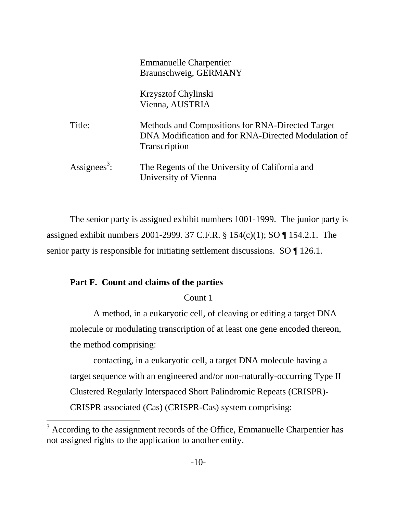|                          | <b>Emmanuelle Charpentier</b><br>Braunschweig, GERMANY                                                                          |
|--------------------------|---------------------------------------------------------------------------------------------------------------------------------|
|                          | Krzysztof Chylinski<br>Vienna, AUSTRIA                                                                                          |
| Title:                   | Methods and Compositions for RNA-Directed Target<br>DNA Modification and for RNA-Directed Modulation of<br><b>Transcription</b> |
| Assignees <sup>3</sup> : | The Regents of the University of California and<br>University of Vienna                                                         |

The senior party is assigned exhibit numbers 1001-1999. The junior party is assigned exhibit numbers 2001-2999. 37 C.F.R. § 154(c)(1); SO ¶ 154.2.1. The senior party is responsible for initiating settlement discussions. SO  $\P$  126.1.

### **Part F. Count and claims of the parties**

l

#### Count 1

A method, in a eukaryotic cell, of cleaving or editing a target DNA molecule or modulating transcription of at least one gene encoded thereon, the method comprising:

contacting, in a eukaryotic cell, a target DNA molecule having a target sequence with an engineered and/or non-naturally-occurring Type II Clustered Regularly lnterspaced Short Palindromic Repeats (CRISPR)- CRISPR associated (Cas) (CRISPR-Cas) system comprising:

 $3$  According to the assignment records of the Office, Emmanuelle Charpentier has not assigned rights to the application to another entity.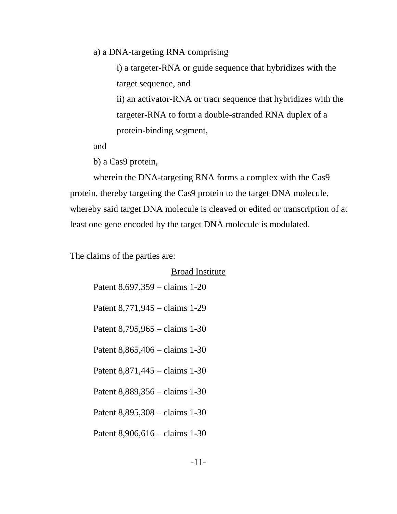a) a DNA-targeting RNA comprising

i) a targeter-RNA or guide sequence that hybridizes with the target sequence, and

ii) an activator-RNA or tracr sequence that hybridizes with the targeter-RNA to form a double-stranded RNA duplex of a protein-binding segment,

and

b) a Cas9 protein,

wherein the DNA-targeting RNA forms a complex with the Cas9 protein, thereby targeting the Cas9 protein to the target DNA molecule, whereby said target DNA molecule is cleaved or edited or transcription of at least one gene encoded by the target DNA molecule is modulated.

The claims of the parties are:

| <b>Broad Institute</b>                   |
|------------------------------------------|
| Patent $8,697,359 - \text{claims } 1-20$ |
| Patent 8,771,945 – claims 1-29           |
| Patent 8,795,965 – claims 1-30           |
| Patent 8,865,406 – claims 1-30           |
| Patent $8,871,445 - claims 1-30$         |
| Patent 8,889,356 – claims 1-30           |
| Patent 8,895,308 – claims 1-30           |
| Patent $8,906,616 - \text{claims } 1-30$ |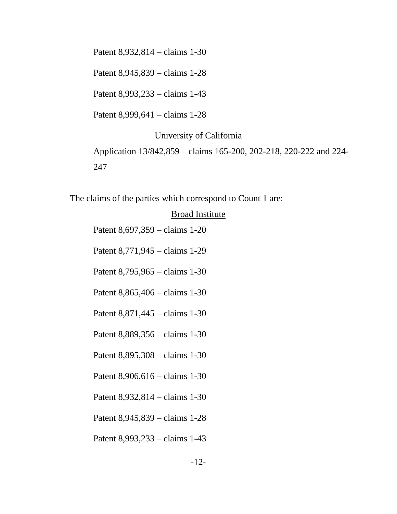Patent 8,932,814 – claims 1-30

Patent 8,945,839 – claims 1-28

Patent 8,993,233 – claims 1-43

Patent 8,999,641 – claims 1-28

#### University of California

Application 13/842,859 – claims 165-200, 202-218, 220-222 and 224- 247

The claims of the parties which correspond to Count 1 are:

#### Broad Institute

Patent 8,697,359 – claims 1-20

Patent 8,771,945 – claims 1-29

Patent 8,795,965 – claims 1-30

Patent 8,865,406 – claims 1-30

Patent 8,871,445 – claims 1-30

Patent 8,889,356 – claims 1-30

Patent 8,895,308 – claims 1-30

Patent 8,906,616 – claims 1-30

Patent 8,932,814 – claims 1-30

Patent 8,945,839 – claims 1-28

Patent 8,993,233 – claims 1-43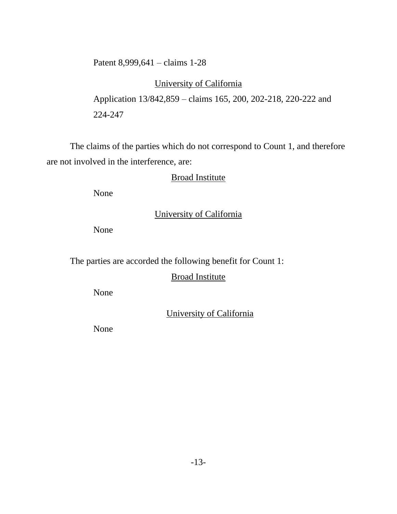Patent 8,999,641 – claims 1-28

# University of California

Application 13/842,859 – claims 165, 200, 202-218, 220-222 and 224-247

The claims of the parties which do not correspond to Count 1, and therefore are not involved in the interference, are:

## Broad Institute

None

# University of California

None

The parties are accorded the following benefit for Count 1:

### Broad Institute

None

University of California

None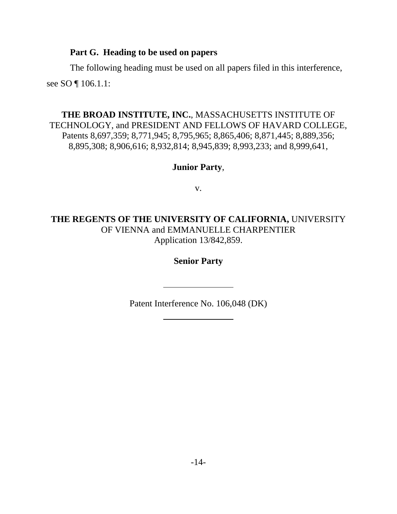### **Part G. Heading to be used on papers**

The following heading must be used on all papers filed in this interference, see SO ¶ 106.1.1:

## **THE BROAD INSTITUTE, INC.**, MASSACHUSETTS INSTITUTE OF TECHNOLOGY, and PRESIDENT AND FELLOWS OF HAVARD COLLEGE, Patents 8,697,359; 8,771,945; 8,795,965; 8,865,406; 8,871,445; 8,889,356; 8,895,308; 8,906,616; 8,932,814; 8,945,839; 8,993,233; and 8,999,641,

## **Junior Party**,

v.

**THE REGENTS OF THE UNIVERSITY OF CALIFORNIA,** UNIVERSITY OF VIENNA and EMMANUELLE CHARPENTIER Application 13/842,859.

**Senior Party**

Patent Interference No. 106,048 (DK)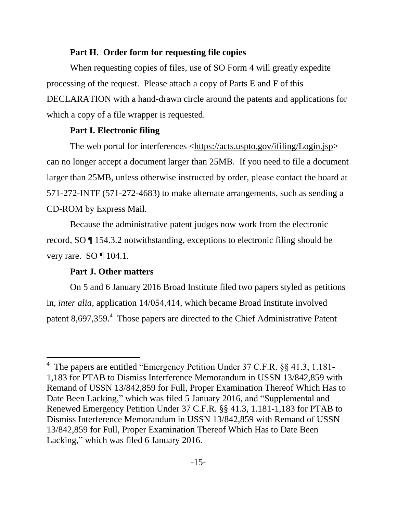### **Part H. Order form for requesting file copies**

When requesting copies of files, use of SO Form 4 will greatly expedite processing of the request. Please attach a copy of Parts E and F of this DECLARATION with a hand-drawn circle around the patents and applications for which a copy of a file wrapper is requested.

### **Part I. Electronic filing**

The web portal for interferences [<https://acts.uspto.gov/ifiling/Login.jsp>](https://acts.uspto.gov/ifiling/Login.jsp) can no longer accept a document larger than 25MB. If you need to file a document larger than 25MB, unless otherwise instructed by order, please contact the board at 571-272-INTF (571-272-4683) to make alternate arrangements, such as sending a CD-ROM by Express Mail.

Because the administrative patent judges now work from the electronic record, SO ¶ 154.3.2 notwithstanding, exceptions to electronic filing should be very rare. SO  $\P$  104.1.

### **Part J. Other matters**

 $\overline{a}$ 

On 5 and 6 January 2016 Broad Institute filed two papers styled as petitions in, *inter alia*, application 14/054,414, which became Broad Institute involved patent 8,697,359.<sup>4</sup> Those papers are directed to the Chief Administrative Patent

<sup>&</sup>lt;sup>4</sup> The papers are entitled "Emergency Petition Under 37 C.F.R. §§ 41.3, 1.181-1,183 for PTAB to Dismiss Interference Memorandum in USSN 13/842,859 with Remand of USSN 13/842,859 for Full, Proper Examination Thereof Which Has to Date Been Lacking," which was filed 5 January 2016, and "Supplemental and Renewed Emergency Petition Under 37 C.F.R. §§ 41.3, 1.181-1,183 for PTAB to Dismiss Interference Memorandum in USSN 13/842,859 with Remand of USSN 13/842,859 for Full, Proper Examination Thereof Which Has to Date Been Lacking," which was filed 6 January 2016.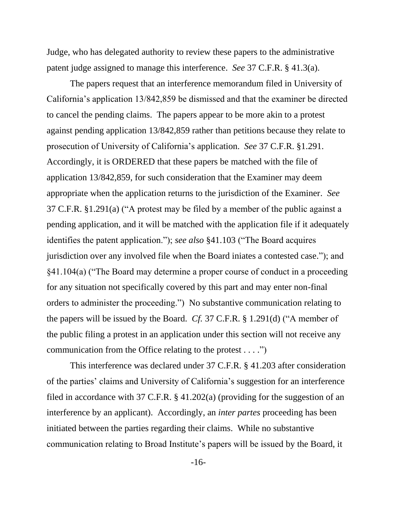Judge, who has delegated authority to review these papers to the administrative patent judge assigned to manage this interference. *See* 37 C.F.R. § 41.3(a).

The papers request that an interference memorandum filed in University of California's application 13/842,859 be dismissed and that the examiner be directed to cancel the pending claims. The papers appear to be more akin to a protest against pending application 13/842,859 rather than petitions because they relate to prosecution of University of California's application. *See* 37 C.F.R. §1.291. Accordingly, it is ORDERED that these papers be matched with the file of application 13/842,859, for such consideration that the Examiner may deem appropriate when the application returns to the jurisdiction of the Examiner. *See*  37 C.F.R. §1.291(a) ("A protest may be filed by a member of the public against a pending application, and it will be matched with the application file if it adequately identifies the patent application."); *see also* §41.103 ("The Board acquires jurisdiction over any involved file when the Board iniates a contested case."); and §41.104(a) ("The Board may determine a proper course of conduct in a proceeding for any situation not specifically covered by this part and may enter non-final orders to administer the proceeding.") No substantive communication relating to the papers will be issued by the Board. *Cf.* 37 C.F.R. § 1.291(d) ("A member of the public filing a protest in an application under this section will not receive any communication from the Office relating to the protest . . . .")

This interference was declared under 37 C.F.R. § 41.203 after consideration of the parties' claims and University of California's suggestion for an interference filed in accordance with 37 C.F.R. § 41.202(a) (providing for the suggestion of an interference by an applicant). Accordingly, an *inter partes* proceeding has been initiated between the parties regarding their claims. While no substantive communication relating to Broad Institute's papers will be issued by the Board, it

-16-